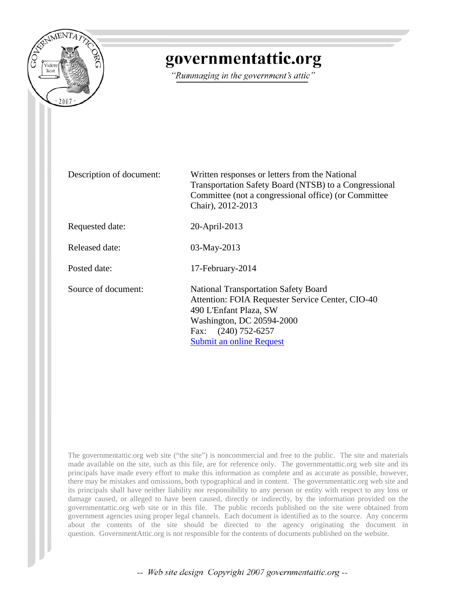

# governmentattic.org

"Rummaging in the government's attic"

Description of document: Written responses or letters from the National Transportation Safety Board (NTSB) to a Congressional Committee (not a congressional office) (or Committee Chair), 2012-2013 Requested date: 20-April-2013 Released date: 03-May-2013 Posted date: 17-February-2014 Source of document: National Transportation Safety Board Attention: FOIA Requester Service Center, CIO-40 490 L'Enfant Plaza, SW Washington, DC 20594-2000 [Fax: \(240\) 752-6257](https://foiaonline.regulations.gov/foia/action/public/home)  Submit an online Request

The governmentattic.org web site ("the site") is noncommercial and free to the public. The site and materials made available on the site, such as this file, are for reference only. The governmentattic.org web site and its principals have made every effort to make this information as complete and as accurate as possible, however, there may be mistakes and omissions, both typographical and in content. The governmentattic.org web site and its principals shall have neither liability nor responsibility to any person or entity with respect to any loss or damage caused, or alleged to have been caused, directly or indirectly, by the information provided on the governmentattic.org web site or in this file. The public records published on the site were obtained from government agencies using proper legal channels. Each document is identified as to the source. Any concerns about the contents of the site should be directed to the agency originating the document in question. GovernmentAttic.org is not responsible for the contents of documents published on the website.

-- Web site design Copyright 2007 governmentattic.org --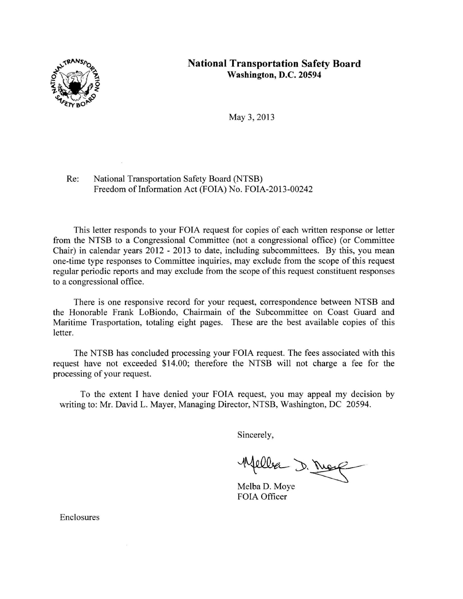

#### **National Transportation Safety Board Washington, D.C. 20594**

May 3, 2013

Re: National Transportation Safety Board (NTSB) Freedom of Information Act (FOIA) No. FOIA-2013-00242

This letter responds to your FOIA request for copies of each written response or letter from the NTSB to a Congressional Committee (not a congressional office) (or Committee Chair) in calendar years 2012 - 2013 to date, including subcommittees. By this, you mean one-time type responses to Committee inquiries, may exclude from the scope of this request regular periodic reports and may exclude from the scope of this request constituent responses to a congressional office.

There is one responsive record for your request, correspondence between NTSB and the Honorable Frank LoBiondo, Chairmain of the Subcommittee on Coast Guard and Maritime Trasportation, totaling eight pages. These are the best available copies of this letter.

The NTSB has concluded processing your FOIA request. The fees associated with this request have not exceeded \$14.00; therefore the NTSB will not charge a fee for the processing of your request.

To the extent I have denied your FOIA request, you may appeal my decision by writing to: Mr. David L. Mayer, Managing Director, NTSB, Washington, DC 20594.

Sincerely,

Welles D. Marg

Melba D. Moye FOIA Officer

Enclosures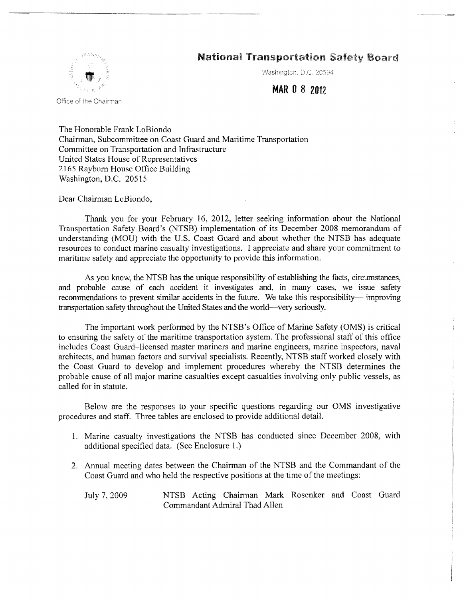#### **National Transportation Safety Board**



Office of the Chairman

Washington, D.C. 20594

#### **MAR** 0 8 201Z

The Honorable Frank LoBiondo Chairman, Subcommittee on Coast Guard and Maritime Transportation Committee on Transportation and Infrastructure United States House of Representatives 2165 Rayburn House Office Building Washington, D.C. 20515

-------·-··· -·-·----

Dear Chairman LoBiondo,

Thank you for your February 16, 2012, letter seeking information about the National Transportation Safety Board's (NTSB) implementation of its December 2008 memorandum of understanding (MOU) with the U.S. Coast Guard and about whether the NTSB has adequate resources to conduct marine casualty investigations. I appreciate and share your commitment to maritime safety and appreciate the opportunity to provide this information.

As you know, the NTSB has the unique responsibility of establishing the facts, circumstances, and probable cause of each accident it investigates and, in many cases, we issue safety recommendations to prevent similar accidents in the future. We take this responsibility- improving transportation safety throughout the United States and the world-very seriously.

The important work performed by the NTSB's Office of Marine Safety (OMS) is critical to ensuring the safety of the maritime transportation system. The professional staff of this office includes Coast Guard~licensed master mariners and marine engineers, marine inspectors, naval architects, and human factors and survival specialists. Recently, NTSB staff worked closely with the Coast Guard to develop and implement procedures whereby the NTSB determines the probable cause of all major marine casualties except casualties involving only public vessels, as called for in statute.

Below are the responses to your specific questions regarding our OMS investigative procedures and staff. Three tables are enclosed to provide additional detail.

- 1. Marine casualty investigations the NTSB has conducted since December 2008, with additional specified data. (See Enclosure 1.)
- 2. Annual meeting dates between the Chairman of the NTSB and the Commandant of the Coast Guard and who held the respective positions at the time of the meetings:

July 7, 2009 NTSB Acting Chairman Mark Rosenker and Coast Guard Commandant Admiral Thad Allen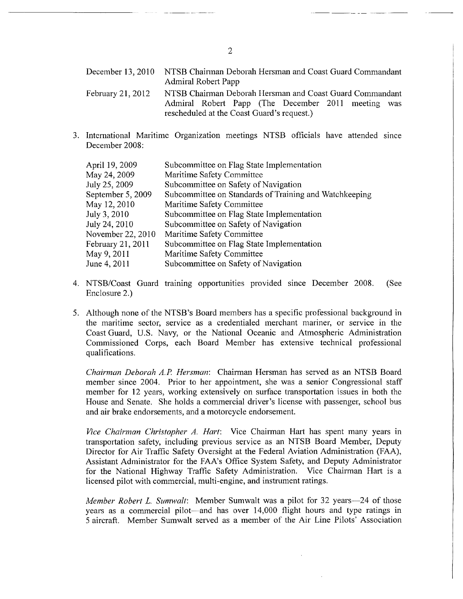December 13, 2010 NTSB Chainnan Deborah Hersman and Coast Guard Commandant Admiral Robert Papp February 21, 2012 NTSB Chairman Deborah Hersman and Coast Guard Commandant Admiral Robert Papp (The December 2011 meeting was rescheduled at the Coast Guard's request.)

3. International Maritime Organization meetings NTSB officials have attended smce December 2008:

| Subcommittee on Flag State Implementation              |
|--------------------------------------------------------|
| Maritime Safety Committee                              |
| Subcommittee on Safety of Navigation                   |
| Subcommittee on Standards of Training and Watchkeeping |
| Maritime Safety Committee                              |
| Subcommittee on Flag State Implementation              |
| Subcommittee on Safety of Navigation                   |
| Maritime Safety Committee                              |
| Subcommittee on Flag State Implementation              |
| Maritime Safety Committee                              |
| Subcommittee on Safety of Navigation                   |
|                                                        |

- 4. NTSB/Coast Guard training opportunities provided since December 2008. (See Enclosure 2.)
- 5. Although none of the NTSB's Board members has a specific professional background in the maritime sector, service as a credentialed merchant mariner, or service in the Coast Guard, U.S. Navy, or the National Oceanic and Atmospheric Administration Commissioned Corps, each Board Member has extensive technical professional qualifications.

*Chairman Deborah A.P Hersman:* Chairman Hersman has served as an NTSB Board member since 2004. Prior to her appointment, she was a senior Congressional staff member for 12 years, working extensively on surface transportation issues in both the House and Senate. She holds a commercial driver's license with passenger, school bus and air brake endorsements, and a motorcycle endorsement.

*Vice Chairman Christopher A. Hart:* Vice Chairman Hart has spent many years in transportation safety, including previous service as an NTSB Board Member, Deputy Director for Air Traffic Safety Oversight at the Federal Aviation Administration (FAA), Assistant Administrator for the FAA's Office System Safety, and Deputy Administrator for the National Highway Traffic Safety Administration. Vice Chairman Hart is a licensed pilot with commercial, multi-engine, and instrument ratings.

*Member Robert L. Sumwalt:* Member Sumwalt was a pilot for 32 years-24 of those years as a commercial pilot-and has over 14,000 flight hours and type ratings in 5 aircraft. Member Sumwalt served as a member of the Air Line Pilots' Association

2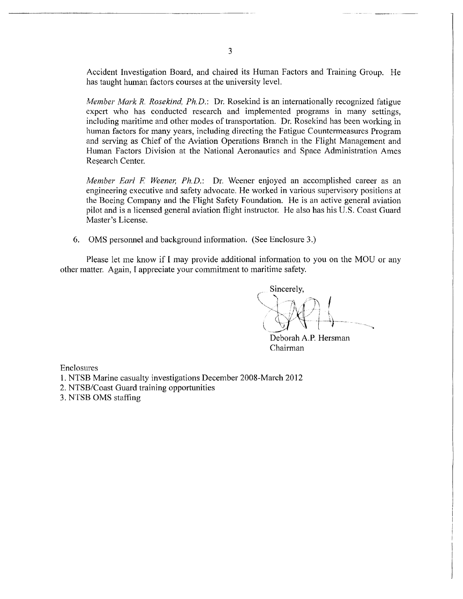Accident Investigation Board, and chaired its Human Factors and Training Group. He has taught human factors courses at the university level.

*Member Mark R. Rosekind, Ph.D.: Dr. Rosekind is an internationally recognized fatigue* expert who has conducted research and implemented programs in many settings, including maritime and other modes of transportation. Dr. Rosekind has been working in human factors for many years, including directing the Fatigue Countermeasures Program and serving as Chief of the Aviation Operations Branch in the Flight Management and Human Factors Division at the National Aeronautics and Space Administration Ames Research Center.

*Member Earl F. Weener, Ph.D.:* Dr. Weener enjoyed an accomplished career as an engineering executive and safety advocate. He worked in various supervisory positions at the Boeing Company and the Flight Safety Foundation. He is an active general aviation pilot and is a licensed general aviation flight instructor. He also has his U.S. Coast Guard Master's License.

6. OMS personnel and background information. (See Enclosure 3.)

Please let me know if I may provide additional information to you on the MOU or any other matter. Again, I appreciate your commitment to maritime safety.

. Sincerely,  $\sum_{i=1}^{n}$  $\bigcirc$ 

Deborah A.P. Hersman Chairman

Enclosures

- 1. NTSB Marine casualty investigations December 2008-March 2012
- 2. NTSB/Coast Guard training opportunities
- 3. NTSB OMS staffing

3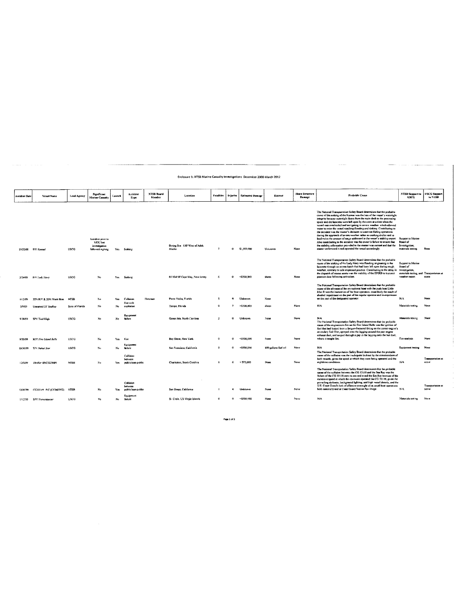| <b>Accident Date</b> | <b>Vessel Name</b>             | <b>Lead Agency</b> | Significant<br><b>Marine Casualty</b>                             | danun.l | Accident<br>True                                       | <b>NTSB Board</b><br>Member | Location                               | <b>Faialities</b> | Injuries     | <b>Estimated Damone</b> | Hazmat               | <b>Shore Structure</b><br><b>Damage</b> | <b>Probable Cause</b>                                                                                                                                                                                                                                                                                                                                                                                                                                                                                                                                                                                                                                                                                                                                                                                                                                                                                               | <b>NTSB Support to</b><br><b>USCG</b>                                                                         | <b>USCG Support</b><br>le NTSB |
|----------------------|--------------------------------|--------------------|-------------------------------------------------------------------|---------|--------------------------------------------------------|-----------------------------|----------------------------------------|-------------------|--------------|-------------------------|----------------------|-----------------------------------------|---------------------------------------------------------------------------------------------------------------------------------------------------------------------------------------------------------------------------------------------------------------------------------------------------------------------------------------------------------------------------------------------------------------------------------------------------------------------------------------------------------------------------------------------------------------------------------------------------------------------------------------------------------------------------------------------------------------------------------------------------------------------------------------------------------------------------------------------------------------------------------------------------------------------|---------------------------------------------------------------------------------------------------------------|--------------------------------|
|                      | 10:22/08 F/V Kaupai            | usca               | Accident prior to<br>MOU but<br>investigation<br>followed signing | Yes     | Sinkin:                                                |                             | Bering Sea 120 West of Adak.<br>Alaska | $\overline{ }$    | $\mathbf{r}$ | \$1,500,000             | Unknown              | None                                    | The National Transportation Sofety Board determines that the probable<br>cause of the sinking of the Kaimai was the loss of the vessel's watertight<br>integrity because watertight doors from the main deck to the processing<br>space and the lazoratic were left open by the crew at a time when the<br>vessel was overloaded and navigating in severe weather, which allowed<br>water to enter the vessel resulting flooding and sinking. Contributing to<br>the accident was the master's decision to continue fishing operations<br>during the approach of severe weather rather an seeking shelter and to<br>load twice the amount of cargo addressed in the vessel's stability report<br>Also contributing to the accident was the owner's failure to ensure that<br>the stability information provided to the master was current and that the<br>master understood it and operated the vessel accordingly. | Support to Marine<br><b>Board</b> of<br>Investigation;<br>materials testing                                   | None                           |
| 3/24/09              | FIV Lash Mary                  | <b>USCG</b>        | No                                                                | Yes.    | <b>Sunking</b>                                         |                             | 65 NM SE Cape May, New Jersey          | 6                 | $\circ$      | <\$500,000              | sheen                | None                                    | The National Transportation Safety Board determines that the probable<br>cause of the sinking of the Lady Mary was flooding originating in the<br>lazurette through an access hatch that had been left open during rough.<br>weather, contrary to safe shipboard gractice. Contributing to the delay in-<br>the dispatch of rescue assets was the inability of the EPIRB to transmit<br>position data following activation.                                                                                                                                                                                                                                                                                                                                                                                                                                                                                         | Support to Marine<br>Board of<br>investigation,<br>materials testing, and Transportation at<br>weather report | scene                          |
| 4/12/09              | 22Ft R/V & 25Ft Work Boat NTSB |                    | No                                                                | Yes.    | Collision                                              | Hersman                     | Pante Vedra, Fiorida                   | -5                |              | Unknown                 | None                 |                                         | The National Transportation Safety Board determines that the probable<br>cause of the allo sion of the recreational look with the push boat Little<br>Man II was the inamention of the boat operators, most likely the result of<br>alcohol impairment on the part of the regular operator and in-experience<br>on the part of the designated operator.                                                                                                                                                                                                                                                                                                                                                                                                                                                                                                                                                             | NA                                                                                                            | None                           |
| \$79.09              | Unnamed 33' SeaRey             | State of Florida   | No                                                                | No      | Fire with<br>explosion                                 |                             | Tamps, Florida                         | $\mathbf{o}$      | $\mathbf{z}$ | >\$500,000              | sheen                | None                                    | <b>N/A</b>                                                                                                                                                                                                                                                                                                                                                                                                                                                                                                                                                                                                                                                                                                                                                                                                                                                                                                          | Materials testing                                                                                             | Noue                           |
| 8.28/09              | SPV Tied High                  | <b>USCG</b>        | No                                                                | No      | Equipment<br><b>failure</b>                            |                             | Ocean Isle, North Carolina             | $\mathbf{r}$      | $\mathbf{a}$ | Unknown                 | None                 | None                                    | <b>N/A</b><br>The National Transportation Safety Board determines that the probable<br>cause of the engineroom fire on the Fire Island Belle was the ignition of<br>fori that had leaked from a fatigue-fractured fitting on the center engine's<br>secondary fuel filter, sprayed onto the lagging around the port engine<br>exhaust duct, and seeped through a gap in the lagging onto the bot duct,                                                                                                                                                                                                                                                                                                                                                                                                                                                                                                              | Materials testing                                                                                             | None                           |
| 9/20/09              | <b>MV</b> Fire Island Belle    | USCG               | No                                                                | Yes     | Fue                                                    |                             | Bay Shore, New York                    | $\mathbf{a}$      | G.           | <\$500,000              | None                 | None                                    | where it caught fire.                                                                                                                                                                                                                                                                                                                                                                                                                                                                                                                                                                                                                                                                                                                                                                                                                                                                                               | Fire analysis                                                                                                 | Nane                           |
| 10/30/09             | T/V Dubai Son                  | <b>USCG</b>        | No                                                                | No      | Equipment<br>failure                                   |                             | San Francisco, California              | $\alpha$          | $\sim$       | <\$500,000              | 800 gallons fuel oil | None                                    | NA<br>The National Transportation Safety Board determines that the probable                                                                                                                                                                                                                                                                                                                                                                                                                                                                                                                                                                                                                                                                                                                                                                                                                                         | Equipment testing                                                                                             | None                           |
| 12/5/09              | Thriller 09/CG25689            | <b>NTSH</b>        | No                                                                | Yes     | Collision<br>between<br>public/non-public              |                             | Charleston, South Carolina             | $\mathbf{a}$      | 6            | $<$ \$75,000            | None                 | None                                    | cause of the collision was the insdequate lookout by the crowmembers of<br>both vessels, given the speed at which they were being operated and the<br>nighttime conditions.                                                                                                                                                                                                                                                                                                                                                                                                                                                                                                                                                                                                                                                                                                                                         | N/A                                                                                                           | Transportation at<br>scene     |
| 12/20/09             | ("G3311" P/C (CF2607PZ) NTSB   |                    | Na                                                                | Yes     | Collision<br>between<br>public/non-public<br>Equipment |                             | San Diego, California                  |                   |              | Unknown                 | None                 | None                                    | The National Transportation Safety Board determines that the probable<br>cause of the collision between the CG 33118 and the Sea Ray was the<br>failure of the CG 33118 crew to see and avoid the Sea Ray because of the<br>excessive speed at which the coxswain operated the CG 33118, given the<br>prevailing darkness, background lighting, and high vessel density, and the<br>U.S. Coast Guard's luck of effective oversight of its small boat operations<br>both nationally and at Coast Guard Station San Diego                                                                                                                                                                                                                                                                                                                                                                                             | N/A                                                                                                           | Toyotoctation at<br>scene      |
| 1/12/10              | SPV Waywakuwer                 | <b>USCG</b>        | No                                                                | No      | faiture                                                |                             | St. Croix, US Virgin Islands           | $\Omega$          | $\mathbf{o}$ | <\$500,000              | None <sup></sup>     | None                                    | <b>N/A</b>                                                                                                                                                                                                                                                                                                                                                                                                                                                                                                                                                                                                                                                                                                                                                                                                                                                                                                          | Materials resting                                                                                             | None                           |

Enclosure 1: NTSB Marine Casualty Investigations December 2008-March 2012

 $\hat{\alpha}$  is a similar of

u.

Page 1 of  $3$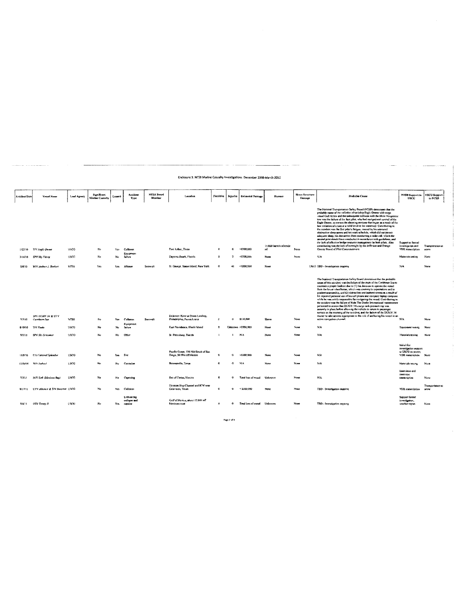| Accident Date | <b>Vettel Name</b>                 | Lead Agency | Significant            | Launch | Accident                                  | NTSB Board     | Lecation                                                       | Fatalities           | Injuries             | Estimated Damage             | Hurmer                         | <b>Shore Structure</b> | <b>Prohable Cause</b>                                                                                                                                                                                                                                                                                                                                                                                                                                                                                                                                                                                                                                                                                                                                                                                                                                                                                                                                      | <b>NTSB Support to</b>                                                       | <b>USCG Support</b>        |
|---------------|------------------------------------|-------------|------------------------|--------|-------------------------------------------|----------------|----------------------------------------------------------------|----------------------|----------------------|------------------------------|--------------------------------|------------------------|------------------------------------------------------------------------------------------------------------------------------------------------------------------------------------------------------------------------------------------------------------------------------------------------------------------------------------------------------------------------------------------------------------------------------------------------------------------------------------------------------------------------------------------------------------------------------------------------------------------------------------------------------------------------------------------------------------------------------------------------------------------------------------------------------------------------------------------------------------------------------------------------------------------------------------------------------------|------------------------------------------------------------------------------|----------------------------|
|               |                                    |             | <b>Marine Canualty</b> |        | Type                                      | Member         |                                                                |                      |                      |                              |                                | Damage                 |                                                                                                                                                                                                                                                                                                                                                                                                                                                                                                                                                                                                                                                                                                                                                                                                                                                                                                                                                            | <b>USCC</b>                                                                  | to NTSB                    |
| 1/23/10       | T/V Sagle Ossan                    | <b>USCG</b> | No                     | Yes    | Collision                                 |                | Port Arthur, Texas                                             | $\mathbf{r}$         | ٠                    | >\$500,000                   | 11,000 barrels of crode<br>uil | None                   | The National Transportation Safety Board (NTSB) determines that the<br>probable cause of the collision of tackship Engle Orome with cargo<br>vessel Gulf Arrow and the submayont collision with the Dixie Venzeance<br>tow was the failure of the first pilot, who had navigational conitol of the<br>Eagle Otome, to correct the sheering motions that began as a result of the<br>late initiation of a turn at a mild bend in the waterway. Cantobuting to<br>the accident was the first pilot's fatigue, coused by his untreated<br>obstructive sleep gones and his work schedule, which did not permit<br>adequate sleep; his destraction from conducting a radio call, which the<br>second pilot should have conducted in accordance with guidelines, and<br>the lack of effective bridge resource transagement by both pilots. Also<br>contributing was the lack of oversight by the Jefferson and Orange<br>County Board of Pilot Commissioners     | Support to formal<br>investigation and<br>VDR mascription                    | Transportation at<br>scene |
| 3/16/10       | SPV Sty Litting                    | <b>USCO</b> | Na                     | Na     | Equipment<br>Entury                       |                | Daytona Beach, Florida                                         | $\mathbf{a}$         | $\mathbf{z}$         | <\$500,000                   | Name                           | Nune                   | NA.                                                                                                                                                                                                                                                                                                                                                                                                                                                                                                                                                                                                                                                                                                                                                                                                                                                                                                                                                        | Materials testing                                                            | None                       |
| 5/3/10        | M/V debre J. Barbert               | NTSU        | Yes                    | Yes    | Afficiion                                 | <b>Spensor</b> | St. George, Staten Island, New York                            | $\alpha$             | 48                   | $<$ \$500,000                | None                           |                        | 13613 TBD - Investigation organise                                                                                                                                                                                                                                                                                                                                                                                                                                                                                                                                                                                                                                                                                                                                                                                                                                                                                                                         | NA                                                                           | None                       |
| 7,7/10        | SPV DOGE 34 & UTV<br>Carribean Sun | NTSB        | No                     | Yes    | Collision                                 | Sumwait        | Delaware River at Penna Landing,<br>Philadelphia, Faunayticana | $\overline{a}$       | a                    | \$130,000                    | Sheon                          | None                   | The National Transportation Safety Board determines that the probable<br>cause of this accident was the failure of the mate of the Caribbean Sea to<br>maintain a proper junknot due to (1) his decayon to uperate the vessel<br>from the lower wheelhouse, which was contrary in expectations and to<br>prodent seamanship, and (2) distraction and inattentiveness as a result of<br>his repeated parsonal use of his cell plicne and company lapton computer<br>while he was solely responsible for navigating the vessel. Contributing to<br>the accident was the failure of Ride The Docks International maintenance<br>personnel to answe that DUKW 34's surge unk pressure cap was<br>securely in place before allowing the vehicle to return to passenger<br>service on the morning of the accident, and the failure of the DUKW 34.<br>master to take actions appropriate to the risk of anchoring his vessel in an<br>active navigation channel. | N/A                                                                          | None                       |
| 813/10        | Try Paula                          | USCG        | No                     | No     | Equipment<br>fadure                       |                | East Providence, Rhode Island                                  | $\sigma$             |                      | Unknown >5500,000            | None                           | None                   | NA                                                                                                                                                                                                                                                                                                                                                                                                                                                                                                                                                                                                                                                                                                                                                                                                                                                                                                                                                         | Equipment resting                                                            | Nung                       |
| 9/5/18        | SPV Sky Screener                   | <b>USCG</b> | Nu                     | Na     | Other                                     |                | St. Petersburg, Florida                                        |                      | ÷                    | <b>N/A</b>                   | None                           | None                   | NA                                                                                                                                                                                                                                                                                                                                                                                                                                                                                                                                                                                                                                                                                                                                                                                                                                                                                                                                                         | Materials testing                                                            | None                       |
| 11/3/10       | C/S Caratval Splendor              | USCG        | No                     | Ym     | Fire                                      |                | Pacific Ocean, 150 NM South of San<br>Drego, 50 NM off Mexico  | e                    | ű                    | >\$500,000                   | None                           | Nove                   | NA                                                                                                                                                                                                                                                                                                                                                                                                                                                                                                                                                                                                                                                                                                                                                                                                                                                                                                                                                         | taitial fire<br>nontra naiasitevni<br>to USCG on seems.<br>VDR transcription | None                       |
| 11/16/10      | <b>MEV</b> bohad                   | <b>USCG</b> | No                     | No     | Corrosion                                 |                | Brownsville, Texas                                             | G                    | ø                    | NIA.                         | None                           | None                   | NA                                                                                                                                                                                                                                                                                                                                                                                                                                                                                                                                                                                                                                                                                                                                                                                                                                                                                                                                                         | Meterials testing                                                            | None                       |
| 7/3/11        | MAV End (Mexican flass)            | USCG        | No                     | No     | Capsizing                                 |                | Sea of Cortez, Mexico                                          | $\cdot$              | G                    | Total loss of vessel         | Unknown                        | Nong                   | NA.                                                                                                                                                                                                                                                                                                                                                                                                                                                                                                                                                                                                                                                                                                                                                                                                                                                                                                                                                        | Interviews and<br>interview.<br>transcription                                | None                       |
| 8/17/11       | UTV Alliance & T/V Raticina USCG   |             | No                     | Yes    | Collision                                 |                | Houston Ship Channel and ICW near<br>Galevston, Texas          | $\mathbf{G}$         | $\mathbf{a}$         | < \$500,000                  | None                           | None                   | TBD - Investigation casoing                                                                                                                                                                                                                                                                                                                                                                                                                                                                                                                                                                                                                                                                                                                                                                                                                                                                                                                                | <b>VDR</b> transcription                                                     | Transportation at<br>seeme |
| 9/8/11        | <b>OSV Tronts II</b>               | USOU        | No                     | Yes    | Lifthout fest<br>collapse and<br>caracize |                | Gulf of Mexico, about 12 NM off<br>Moxican coast               | $\blacktriangleleft$ | $\ddot{\phantom{1}}$ | Total loss of vessel Unknown |                                | None                   | TRD - Investigation outcomp.                                                                                                                                                                                                                                                                                                                                                                                                                                                                                                                                                                                                                                                                                                                                                                                                                                                                                                                               | Support formal<br>investigation,<br>weather report                           | None                       |

 $\bar{t}$ 

 $\frac{1}{2}$ 

 $\bar{t}$ 

 $\sim$ 

Enclosure 1: NTSB Marine Casualty Investigations December 2008-March 2012

 $\frac{1}{2}$  and  $\frac{1}{2}$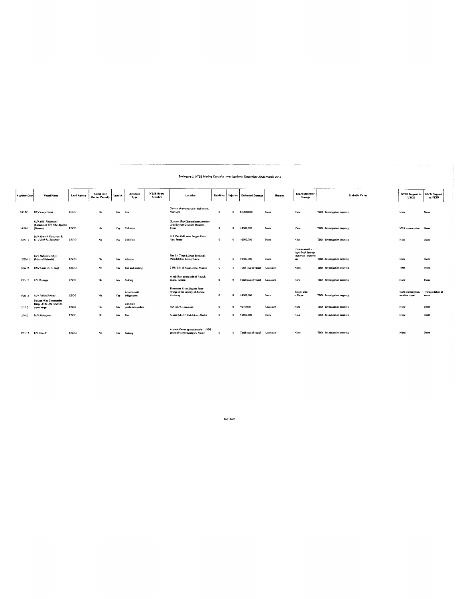|                      | Enclosure 1: NTSB Marine Casualty Investigations December 2008-March 2012 |             |                                |           |                                |                                    |                                                                               |                   |                |                         |             |                                                                    |                                    |                                       |                                |
|----------------------|---------------------------------------------------------------------------|-------------|--------------------------------|-----------|--------------------------------|------------------------------------|-------------------------------------------------------------------------------|-------------------|----------------|-------------------------|-------------|--------------------------------------------------------------------|------------------------------------|---------------------------------------|--------------------------------|
|                      |                                                                           |             |                                |           |                                |                                    |                                                                               |                   |                |                         |             |                                                                    |                                    |                                       |                                |
|                      |                                                                           |             |                                |           |                                |                                    |                                                                               |                   |                |                         |             |                                                                    |                                    |                                       |                                |
| <b>Accident Date</b> | Vessel Name                                                               | Lend Agency | Significant<br>Marine Casualty | Lanneh    | Accident<br>Type               | <b>NTSB Board</b><br><b>Member</b> | Location                                                                      | <b>Fatalities</b> | <b>Taiwies</b> | <b>Estimated Damage</b> | Hazmat      | <b>Shore Structure</b><br>Damage                                   | <b>Probable Cause</b>              | <b>NTSB Support to</b><br><b>USCC</b> | <b>USCG</b> Support<br>to NTSB |
| 10/10/11             | <b>UTV Ivory Coast</b>                                                    | USCO        | No                             | <b>No</b> | Fire                           |                                    | General ship repair pier, Baltimore,<br>Maryland                              | $\mathbf{o}$      | $\Omega$       | \$1,000,000             | <b>None</b> | None                                                               | TBD - Investigation prepairs:      | None                                  | None                           |
| 10/29/11             | <b>NVV MSC Nederland</b><br>(Panama) & T/V Elka Apollon<br>(Greece)       | <b>USCG</b> | No                             | Yes.      | Collision                      |                                    | Houston Ship Changel near junction<br>with Baynott Channel, Houston.<br>Texas | $\mathbf{o}$      | $\Omega$       | >\$500,000              | None        | None                                                               | TBD - Investigation propring       | VDR transcription                     | None                           |
| 12/5/11              | <b>M/V Meersk Wiscupin &amp;</b><br><b>LITY Ruth M Remainer</b>           | <b>USCG</b> | No                             | No        | Collision                      |                                    | Kill Van Kull, near Bergen Point,<br>New Jersey                               | $\Omega$          |                | >\$500,000              | None        | None                                                               | TBD - Investigation ongoing        | None                                  | None                           |
| 12/23/11             | <b>MV Rickmers Tokyo</b><br>(Marshall Islands)                            | USCG        | No                             | No        | Allision                       |                                    | Pier 11. Tions Marine Terminal.<br>Philadelphia, Pennsylvania                 | $\mathbf{0}$      | $\mathbf{n}$   | >\$500,000              | None        | Undetermined -<br>superficial damage<br>to mer no longer in<br>use | TBD - Investigation ongoing        | None                                  | None                           |
| 1/16/12              | OSV Alako (U.S. Bag)                                                      | <b>USCG</b> | No                             | Na        | Fire and sinking               |                                    | 7 NM SW of Niger Delta, Nigeria                                               | $\mathbf{o}$      |                | Total loss of vessel    | Unknown     | None                                                               | TBD - Investigation oneoing        | TBD                                   | None                           |
| 1/25/12              | <b>Fry Herman</b>                                                         | <b>USCG</b> | No                             | No        | Sinking                        |                                    | Alitak Bay, south side of Kodiak<br>Island, Alaska                            | $\mathbf{o}$      |                | Total loss of vessel    | Unknown     | None                                                               | <b>TBD</b> - Investigation ongoing | None                                  | None                           |
| 1/26/12              | M/V Delta Mariner                                                         | <b>USCG</b> | No                             | Yes       | Allision with<br>bridge span   |                                    | Tonnessee River, Eggner Ferry<br>Bridge in the vicinity of Aurora,<br>Kenueky | $\bullet$         |                | >\$500,000              | None        | <b>Bridge span</b><br>collapse                                     | TBD - Investigation orgaing        | VDR transcription,<br>weather report  | Transportation at<br>scene     |
| 2:1/12               | Natures Way Commander<br>Barge A'BI, 3111 /ACOE<br>crane barge            | <b>USCO</b> | No                             | No        | Collision<br>public/non-public |                                    | Port Allen, Louisiann                                                         | $\mathbf{o}$      |                | $-575.000$              | Unknown     | None                                                               | TBD - Investigation ongoing        | None                                  | None                           |
| 2/6/12               | MV Malaspura                                                              | USCG        | No                             | No        | Fire                           |                                    | Alaska ScDD, Ketchikan, Alaska                                                | $\mathbf{o}$      | $\sim$         | >\$500,000              | None        | None                                                               | TBD - Investigation ongoing        | None                                  | Noue                           |
| 2/21/12              | F/V Plan-B                                                                | <b>USCG</b> | No                             | No        | <b>Sinkins</b>                 |                                    | Atlantic Ocean approximately 11 NM<br>south of Kennebunkport, Maine           | $\mathbf{a}$      |                | Total loss of vessel    | Unknown     | Nane                                                               | TRD - Investigation ongoing        | None                                  | None                           |

Page 3 of 3

l,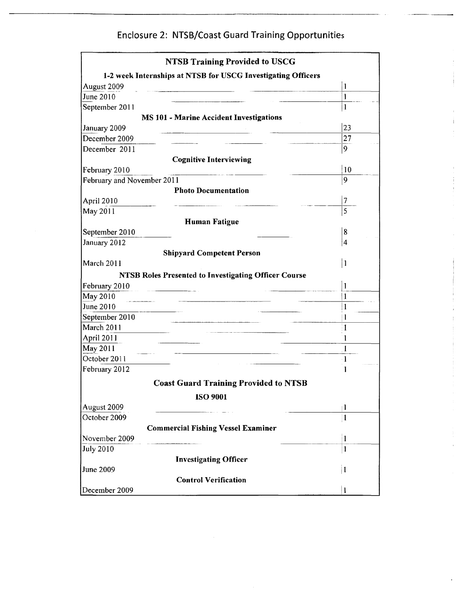## Enclosure 2: NTSB/Coast Guard Training Opportunities

| <b>NTSB Training Provided to USCG</b>                        |              |
|--------------------------------------------------------------|--------------|
| 1-2 week Internships at NTSB for USCG Investigating Officers |              |
| August 2009                                                  | 1            |
| June 2010                                                    | 1            |
| September 2011                                               | $\mathbf{1}$ |
| <b>MS 101 - Marine Accident Investigations</b>               |              |
| January 2009                                                 | 23           |
| December 2009                                                | 27           |
| December 2011                                                | 9            |
| <b>Cognitive Interviewing</b>                                |              |
| February 2010                                                | 10           |
| February and November 2011                                   | 9            |
| <b>Photo Documentation</b>                                   |              |
| April 2010                                                   | 7            |
| May 2011                                                     | 5            |
| <b>Human Fatigue</b>                                         |              |
| September 2010                                               | 8            |
| January 2012                                                 | 4            |
| <b>Shipyard Competent Person</b>                             |              |
| March 2011                                                   | 1            |
| <b>NTSB Roles Presented to Investigating Officer Course</b>  |              |
| February 2010                                                | 1            |
| May 2010                                                     | 1            |
| June 2010                                                    | 1            |
| September 2010                                               | 1            |
| March 2011                                                   | 1            |
| April 2011                                                   | 1            |
| May 2011                                                     | $\mathbf{I}$ |
| October 2011                                                 | $\cdot$ 1    |
| February 2012                                                |              |
|                                                              |              |
| <b>Coast Guard Training Provided to NTSB</b>                 |              |
| <b>ISO 9001</b>                                              |              |
| August 2009                                                  | $\mathbf{I}$ |
| October 2009                                                 | 1            |
| <b>Commercial Fishing Vessel Examiner</b>                    |              |
| November 2009                                                | 1            |
| <b>July 2010</b>                                             | 1            |
| <b>Investigating Officer</b>                                 |              |
| June 2009                                                    | 1            |
| <b>Control Verification</b>                                  |              |
| December 2009                                                | 1            |